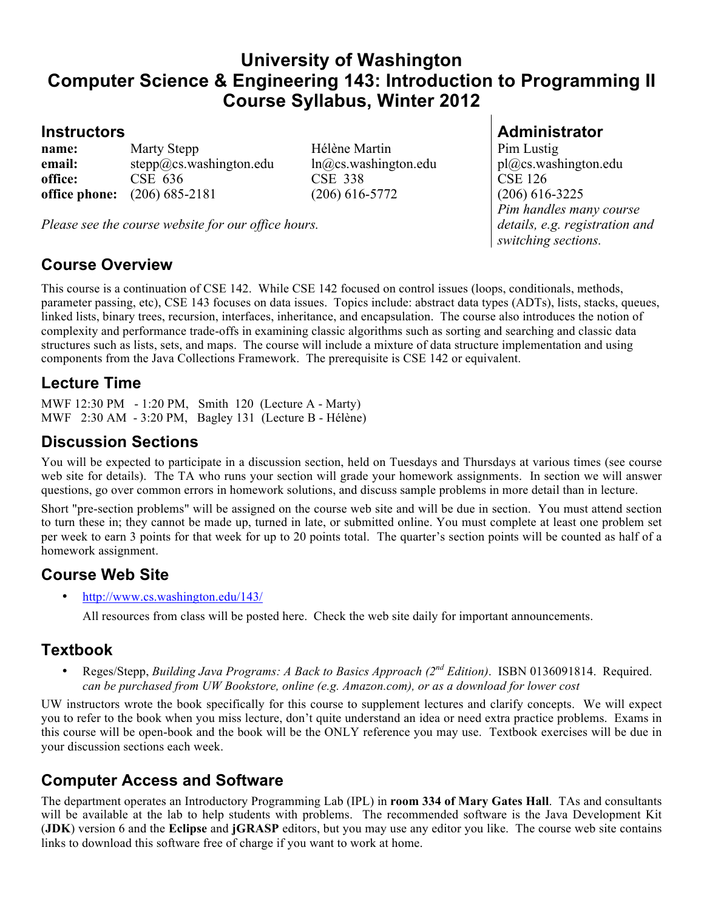# **University of Washington Computer Science & Engineering 143: Introduction to Programming II Course Syllabus, Winter 2012**

**name:** Marty Stepp Hélène Martin Pim Lustig **email:** stepp@cs.washington.edu ln@cs.washington.edu pl@cs.washington.edu **office:** CSE 636 CSE 338 CSE 126 **office phone:** (206) 685-2181 (206) 616-5772 (206) 616-3225

*Please see the course website for our office hours.*

## **Course Overview**

This course is a continuation of CSE 142. While CSE 142 focused on control issues (loops, conditionals, methods, parameter passing, etc), CSE 143 focuses on data issues. Topics include: abstract data types (ADTs), lists, stacks, queues, linked lists, binary trees, recursion, interfaces, inheritance, and encapsulation. The course also introduces the notion of complexity and performance trade-offs in examining classic algorithms such as sorting and searching and classic data structures such as lists, sets, and maps. The course will include a mixture of data structure implementation and using components from the Java Collections Framework. The prerequisite is CSE 142 or equivalent.

### **Lecture Time**

MWF 12:30 PM - 1:20 PM, Smith 120 (Lecture A - Marty) MWF 2:30 AM - 3:20 PM, Bagley 131 (Lecture B - Hélène)

## **Discussion Sections**

You will be expected to participate in a discussion section, held on Tuesdays and Thursdays at various times (see course web site for details). The TA who runs your section will grade your homework assignments. In section we will answer questions, go over common errors in homework solutions, and discuss sample problems in more detail than in lecture.

Short "pre-section problems" will be assigned on the course web site and will be due in section. You must attend section to turn these in; they cannot be made up, turned in late, or submitted online. You must complete at least one problem set per week to earn 3 points for that week for up to 20 points total. The quarter's section points will be counted as half of a homework assignment.

## **Course Web Site**

• http://www.cs.washington.edu/143/

All resources from class will be posted here. Check the web site daily for important announcements.

#### **Textbook**

• Reges/Stepp, *Building Java Programs: A Back to Basics Approach (2nd Edition)*. ISBN 0136091814. Required. *can be purchased from UW Bookstore, online (e.g. Amazon.com), or as a download for lower cost*

UW instructors wrote the book specifically for this course to supplement lectures and clarify concepts. We will expect you to refer to the book when you miss lecture, don't quite understand an idea or need extra practice problems. Exams in this course will be open-book and the book will be the ONLY reference you may use. Textbook exercises will be due in your discussion sections each week.

#### **Computer Access and Software**

The department operates an Introductory Programming Lab (IPL) in **room 334 of Mary Gates Hall**. TAs and consultants will be available at the lab to help students with problems. The recommended software is the Java Development Kit (**JDK**) version 6 and the **Eclipse** and **jGRASP** editors, but you may use any editor you like. The course web site contains links to download this software free of charge if you want to work at home.

### **Instructors Administrator**

*Pim handles many course details, e.g. registration and switching sections.*